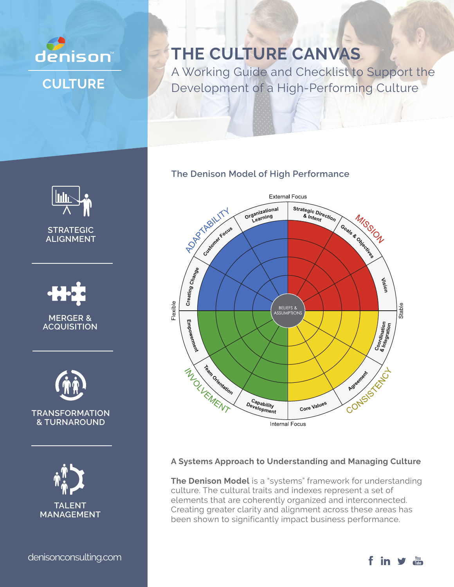

# **THE CULTURE CANVAS**

A Working Guide and Checklist to Support the Development of a High-Performing Culture

# **The Denison Model of High Performance**



# **A Systems Approach to Understanding and Managing Culture**

**The Denison Model** is a "systems" framework for understanding culture. The cultural traits and indexes represent a set of elements that are coherently organized and interconnected. Creating greater clarity and alignment across these areas has been shown to significantly impact business performance.



denisonconsulting.com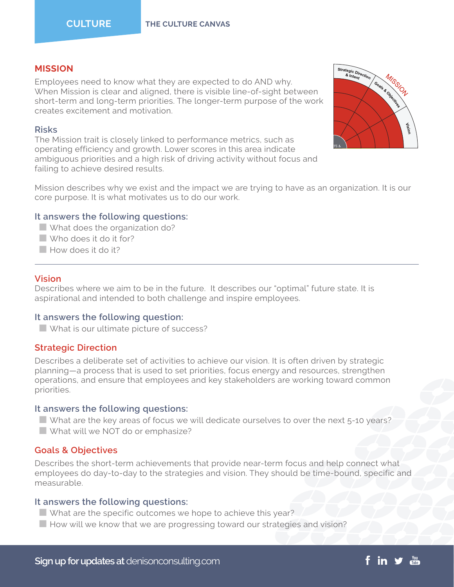# **MISSION**

Employees need to know what they are expected to do AND why. When Mission is clear and aligned, there is visible line-of-sight between short-term and long-term priorities. The longer-term purpose of the work creates excitement and motivation.

#### **Risks**

The Mission trait is closely linked to performance metrics, such as operating efficiency and growth. Lower scores in this area indicate ambiguous priorities and a high risk of driving activity without focus and failing to achieve desired results.



Mission describes why we exist and the impact we are trying to have as an organization. It is our core purpose. It is what motivates us to do our work.

#### **It answers the following questions:**

- $\blacksquare$  What does the organization do?
- Who does it do it for?
- **Now does it do it?**

#### **Vision**

Describes where we aim to be in the future. It describes our "optimal" future state. It is aspirational and intended to both challenge and inspire employees.

#### **It answers the following question:**

 $\blacksquare$  What is our ultimate picture of success?

#### **Strategic Direction**

Describes a deliberate set of activities to achieve our vision. It is often driven by strategic planning—a process that is used to set priorities, focus energy and resources, strengthen operations, and ensure that employees and key stakeholders are working toward common priorities.

#### **It answers the following questions:**

 $\blacksquare$  What are the key areas of focus we will dedicate ourselves to over the next 5-10 years?  $\blacksquare$  What will we NOT do or emphasize?

#### **Goals & Objectives**

Describes the short-term achievements that provide near-term focus and help connect what employees do day-to-day to the strategies and vision. They should be time-bound, specific and measurable.

## **It answers the following questions:**

- $\blacksquare$  What are the specific outcomes we hope to achieve this year?
- $\blacksquare$  How will we know that we are progressing toward our strategies and vision?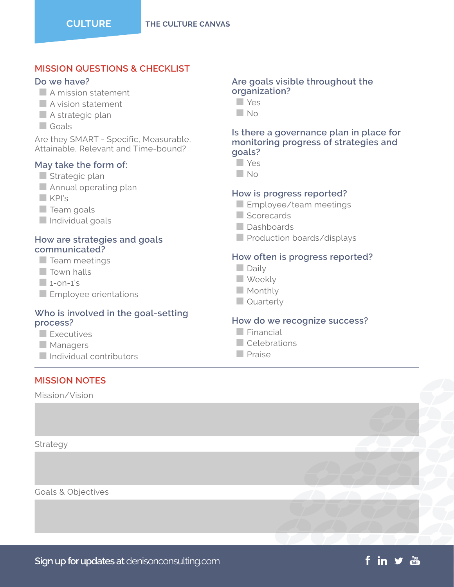# **MISSION QUESTIONS & CHECKLIST**

## **Do we have?**

- $\blacksquare$  A mission statement
- $\blacksquare$  A vision statement
- $\blacksquare$  A strategic plan
- n Goals

Are they SMART - Specific, Measurable, Attainable, Relevant and Time-bound?

## **May take the form of:**

- $\blacksquare$  Strategic plan
- $\blacksquare$  Annual operating plan
- $KPI's$
- $\Box$  Team goals
- $\blacksquare$  Individual goals

## **How are strategies and goals communicated?**

- $\blacksquare$  Team meetings
- $\Box$  Town halls
- $1$ -on-1's
- $\blacksquare$  Employee orientations

## **Who is involved in the goal-setting process?**

- $\blacksquare$  Executives
- $\Box$  Managers
- $\Box$  Individual contributors

# **MISSION NOTES**

Mission/Vision

Strategy

Goals & Objectives

#### **Are goals visible throughout the organization?**

- n Yes
- $N<sub>0</sub>$

#### **Is there a governance plan in place for monitoring progress of strategies and goals?**

- n Yes
- n No

## **How is progress reported?**

- **Employee/team meetings**
- $\blacksquare$  Scorecards
- Dashboards
- $\blacksquare$  Production boards/displays

## **How often is progress reported?**

- $\Box$  Daily
- **N** Weekly
- $M$  Monthly
- $\Box$  Quarterly

#### **How do we recognize success?**

f in y ma

- $\Box$  Financial
- $\Box$  Celebrations
- $n$  Praise

**Sign up for updates at** denisonconsulting.com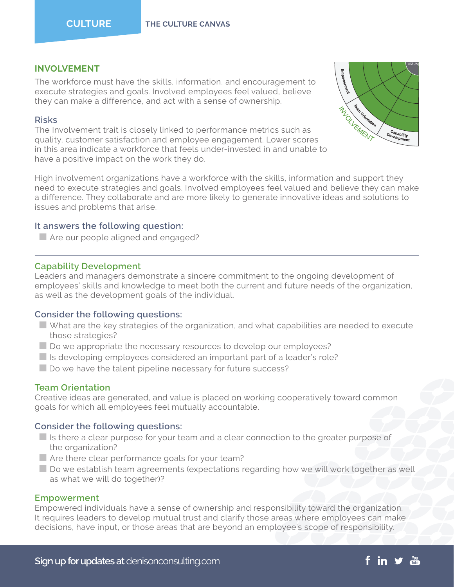# **INVOLVEMENT**

The workforce must have the skills, information, and encouragement to execute strategies and goals. Involved employees feel valued, believe they can make a difference, and act with a sense of ownership.

# **Risks**

The Involvement trait is closely linked to performance metrics such as quality, customer satisfaction and employee engagement. Lower scores in this area indicate a workforce that feels under-invested in and unable to have a positive impact on the work they do.



High involvement organizations have a workforce with the skills, information and support they need to execute strategies and goals. Involved employees feel valued and believe they can make a difference. They collaborate and are more likely to generate innovative ideas and solutions to issues and problems that arise.

# **It answers the following question:**

 $\blacksquare$  Are our people aligned and engaged?

# **Capability Development**

Leaders and managers demonstrate a sincere commitment to the ongoing development of employees' skills and knowledge to meet both the current and future needs of the organization, as well as the development goals of the individual.

# **Consider the following questions:**

- $\blacksquare$  What are the key strategies of the organization, and what capabilities are needed to execute those strategies?
- $\blacksquare$  Do we appropriate the necessary resources to develop our employees?
- $\blacksquare$  Is developing employees considered an important part of a leader's role?
- $\blacksquare$  Do we have the talent pipeline necessary for future success?

# **Team Orientation**

Creative ideas are generated, and value is placed on working cooperatively toward common goals for which all employees feel mutually accountable.

# **Consider the following questions:**

- $\blacksquare$  Is there a clear purpose for your team and a clear connection to the greater purpose of the organization?
- $\blacksquare$  Are there clear performance goals for your team?
- $\blacksquare$  Do we establish team agreements (expectations regarding how we will work together as well as what we will do together)?

## **Empowerment**

Empowered individuals have a sense of ownership and responsibility toward the organization. It requires leaders to develop mutual trust and clarify those areas where employees can make decisions, have input, or those areas that are beyond an employee's scope of responsibility.

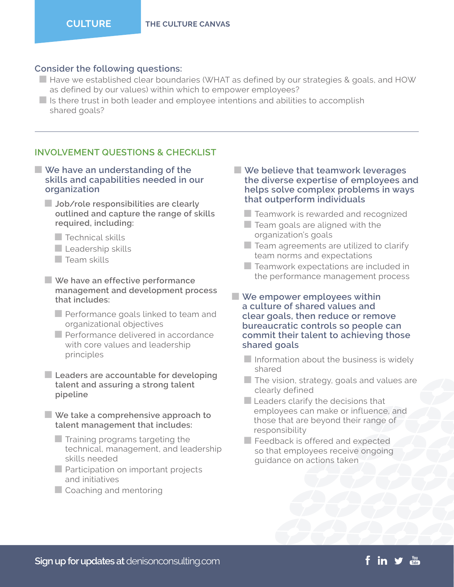### **Consider the following questions:**

- $\blacksquare$  Have we established clear boundaries (WHAT as defined by our strategies & goals, and HOW as defined by our values) within which to empower employees?
- $\blacksquare$  Is there trust in both leader and employee intentions and abilities to accomplish shared goals?

# **INVOLVEMENT QUESTIONS & CHECKLIST**

- We have an understanding of the **skills and capabilities needed in our organization**
	- **Nob/role responsibilities are clearly outlined and capture the range of skills required, including:**
		- $\Box$  Technical skills
		- $\blacksquare$  Leadership skills
		- $\Box$  Team skills
	- **No Brave an effective performance management and development process that includes:**
		- $\blacksquare$  Performance goals linked to team and organizational objectives
		- **Performance delivered in accordance** with core values and leadership principles
	- **E** Leaders are accountable for developing **talent and assuring a strong talent pipeline**
	- **No** We take a comprehensive approach to **talent management that includes:**
		- $\blacksquare$  Training programs targeting the technical, management, and leadership skills needed
		- $\blacksquare$  Participation on important projects and initiatives
		- $\Box$  Coaching and mentoring

## ■ We believe that teamwork leverages **the diverse expertise of employees and helps solve complex problems in ways that outperform individuals**

- $\blacksquare$  Teamwork is rewarded and recognized
- $\blacksquare$  Team goals are aligned with the organization's goals
- $\blacksquare$  Team agreements are utilized to clarify team norms and expectations
- $\blacksquare$  Teamwork expectations are included in the performance management process
- **We empower employees within a culture of shared values and clear goals, then reduce or remove bureaucratic controls so people can commit their talent to achieving those shared goals**
	- $\blacksquare$  Information about the business is widely shared
	- $\blacksquare$  The vision, strategy, goals and values are clearly defined
	- $\blacksquare$  Leaders clarify the decisions that employees can make or influence, and those that are beyond their range of responsibility
	- $\blacksquare$  Feedback is offered and expected so that employees receive ongoing guidance on actions taken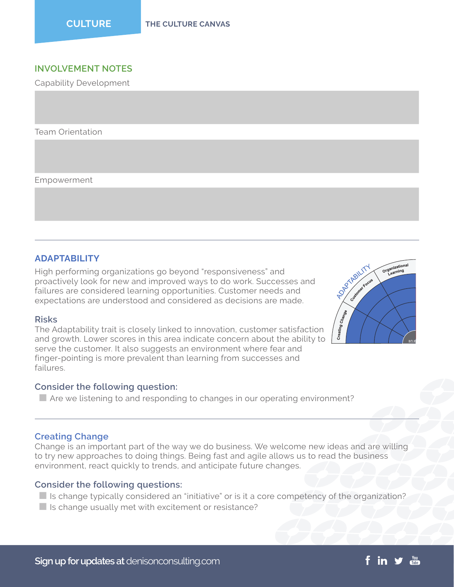# **INVOLVEMENT NOTES**

Capability Development

Team Orientation

Empowerment

# **ADAPTABILITY**

High performing organizations go beyond "responsiveness" and proactively look for new and improved ways to do work. Successes and failures are considered learning opportunities. Customer needs and expectations are understood and considered as decisions are made.

#### **Risks**

The Adaptability trait is closely linked to innovation, customer satisfaction and growth. Lower scores in this area indicate concern about the ability to serve the customer. It also suggests an environment where fear and finger-pointing is more prevalent than learning from successes and failures.

#### **Consider the following question:**

 $\blacksquare$  Are we listening to and responding to changes in our operating environment?

## **Creating Change**

Change is an important part of the way we do business. We welcome new ideas and are willing to try new approaches to doing things. Being fast and agile allows us to read the business environment, react quickly to trends, and anticipate future changes.

## **Consider the following questions:**

- $\blacksquare$  Is change typically considered an "initiative" or is it a core competency of the organization?
- $\blacksquare$  Is change usually met with excitement or resistance?

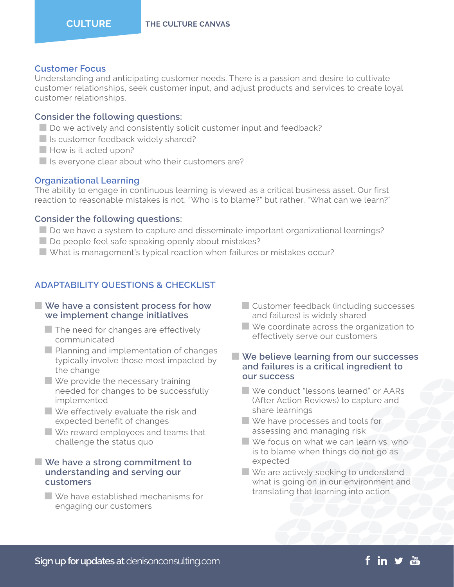#### **Customer Focus**

Understanding and anticipating customer needs. There is a passion and desire to cultivate customer relationships, seek customer input, and adjust products and services to create loyal customer relationships.

#### **Consider the following questions:**

- $\blacksquare$  Do we actively and consistently solicit customer input and feedback?
- $\blacksquare$  Is customer feedback widely shared?
- $\blacksquare$  How is it acted upon?
- $\blacksquare$  Is everyone clear about who their customers are?

## **Organizational Learning**

The ability to engage in continuous learning is viewed as a critical business asset. Our first reaction to reasonable mistakes is not, "Who is to blame?" but rather, "What can we learn?"

### **Consider the following questions:**

- $\Box$  Do we have a system to capture and disseminate important organizational learnings?
- $\Box$  Do people feel safe speaking openly about mistakes?
- $\blacksquare$  What is management's typical reaction when failures or mistakes occur?

# **ADAPTABILITY QUESTIONS & CHECKLIST**

### ■ We have a consistent process for how **we implement change initiatives**

- $\blacksquare$  The need for changes are effectively communicated
- $\blacksquare$  Planning and implementation of changes typically involve those most impacted by the change
- $\blacksquare$  We provide the necessary training needed for changes to be successfully implemented
- $\blacksquare$  We effectively evaluate the risk and expected benefit of changes
- $\blacksquare$  We reward employees and teams that challenge the status quo

## ■ We have a strong commitment to **understanding and serving our customers**

 $\blacksquare$  We have established mechanisms for engaging our customers

- $\blacksquare$  Customer feedback (including successes and failures) is widely shared
- $\blacksquare$  We coordinate across the organization to effectively serve our customers

#### ■ We believe learning from our successes **and failures is a critical ingredient to our success**

- n We conduct "lessons learned" or AARs (After Action Reviews) to capture and share learnings
- $\blacksquare$  We have processes and tools for assessing and managing risk
- $\blacksquare$  We focus on what we can learn vs. who is to blame when things do not go as expected
- $\blacksquare$  We are actively seeking to understand what is going on in our environment and translating that learning into action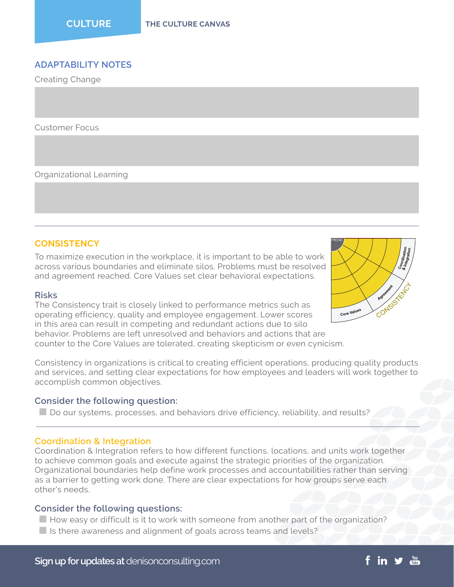# **ADAPTABILITY NOTES**

Creating Change

Customer Focus

Organizational Learning

## **CONSISTENCY**

To maximize execution in the workplace, it is important to be able to work across various boundaries and eliminate silos. Problems must be resolved and agreement reached. Core Values set clear behavioral expectations.

#### **Risks**

The Consistency trait is closely linked to performance metrics such as operating efficiency, quality and employee engagement. Lower scores in this area can result in competing and redundant actions due to silo behavior. Problems are left unresolved and behaviors and actions that are counter to the Core Values are tolerated, creating skepticism or even cynicism.

Consistency in organizations is critical to creating efficient operations, producing quality products and services, and setting clear expectations for how employees and leaders will work together to accomplish common objectives.

#### **Consider the following question:**

 $\Box$  Do our systems, processes, and behaviors drive efficiency, reliability, and results?

#### **Coordination & Integration**

Coordination & Integration refers to how different functions, locations, and units work together to achieve common goals and execute against the strategic priorities of the organization. Organizational boundaries help define work processes and accountabilities rather than serving as a barrier to getting work done. There are clear expectations for how groups serve each other's needs.

#### **Consider the following questions:**

- $\blacksquare$  How easy or difficult is it to work with someone from another part of the organization?
- $\blacksquare$  Is there awareness and alignment of goals across teams and levels?

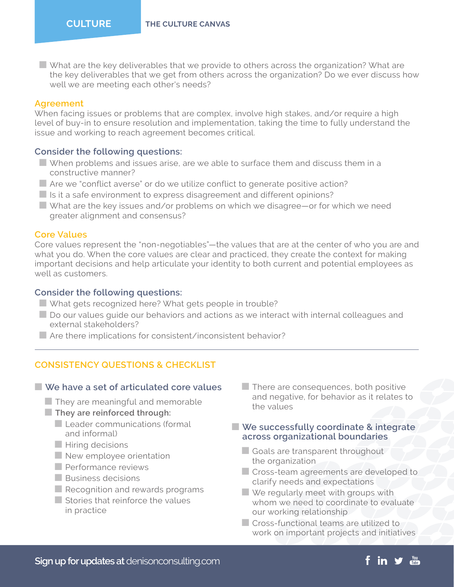$\blacksquare$  What are the key deliverables that we provide to others across the organization? What are the key deliverables that we get from others across the organization? Do we ever discuss how well we are meeting each other's needs?

# **Agreement**

When facing issues or problems that are complex, involve high stakes, and/or require a high level of buy-in to ensure resolution and implementation, taking the time to fully understand the issue and working to reach agreement becomes critical.

## **Consider the following questions:**

- $\blacksquare$  When problems and issues arise, are we able to surface them and discuss them in a constructive manner?
- $\blacksquare$  Are we "conflict averse" or do we utilize conflict to generate positive action?
- $\blacksquare$  Is it a safe environment to express disagreement and different opinions?
- $\blacksquare$  What are the key issues and/or problems on which we disagree—or for which we need greater alignment and consensus?

#### **Core Values**

Core values represent the "non-negotiables"—the values that are at the center of who you are and what you do. When the core values are clear and practiced, they create the context for making important decisions and help articulate your identity to both current and potential employees as well as customers.

#### **Consider the following questions:**

- **N** What gets recognized here? What gets people in trouble?
- $\blacksquare$  Do our values quide our behaviors and actions as we interact with internal colleagues and external stakeholders?
- $\blacksquare$  Are there implications for consistent/inconsistent behavior?

## **CONSISTENCY QUESTIONS & CHECKLIST**

#### ■ We have a set of articulated core values

- $\blacksquare$  They are meaningful and memorable
- **They are reinforced through:** 
	- $\blacksquare$  Leader communications (formal and informal)
	- $\blacksquare$  Hiring decisions
	- $\blacksquare$  New employee orientation
	- **Performance reviews**
	- $\blacksquare$  Business decisions
	- $\blacksquare$  Recognition and rewards programs
	- $\blacksquare$  Stories that reinforce the values in practice

 $\blacksquare$  There are consequences, both positive and negative, for behavior as it relates to the values

## ■ We successfully coordinate & integrate **across organizational boundaries**

- $\Box$  Goals are transparent throughout the organization
- Cross-team agreements are developed to clarify needs and expectations
- $\Box$  We regularly meet with groups with whom we need to coordinate to evaluate our working relationship
- $\blacksquare$  Cross-functional teams are utilized to work on important projects and initiatives